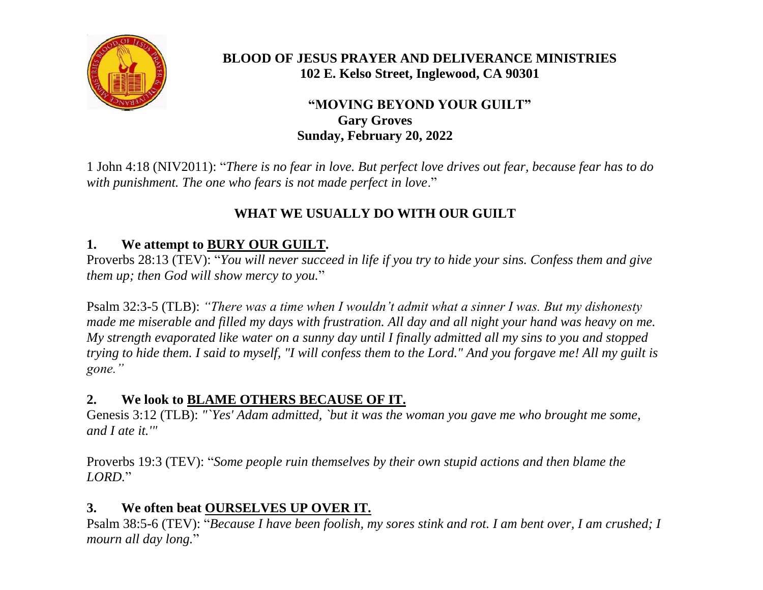

#### **BLOOD OF JESUS PRAYER AND DELIVERANCE MINISTRIES 102 E. Kelso Street, Inglewood, CA 90301**

#### **"MOVING BEYOND YOUR GUILT" Gary Groves Sunday, February 20, 2022**

1 John 4:18 (NIV2011): "*There is no fear in love. But perfect love drives out fear, because fear has to do with punishment. The one who fears is not made perfect in love*."

# **WHAT WE USUALLY DO WITH OUR GUILT**

# **1. We attempt to BURY OUR GUILT.**

Proverbs 28:13 (TEV): "*You will never succeed in life if you try to hide your sins. Confess them and give them up; then God will show mercy to you.*"

Psalm 32:3-5 (TLB): *"There was a time when I wouldn't admit what a sinner I was. But my dishonesty made me miserable and filled my days with frustration. All day and all night your hand was heavy on me. My strength evaporated like water on a sunny day until I finally admitted all my sins to you and stopped trying to hide them. I said to myself, "I will confess them to the Lord." And you forgave me! All my guilt is gone."*

# **2. We look to BLAME OTHERS BECAUSE OF IT.**

Genesis 3:12 (TLB): *"`Yes' Adam admitted, `but it was the woman you gave me who brought me some, and I ate it.'"*

Proverbs 19:3 (TEV): "*Some people ruin themselves by their own stupid actions and then blame the LORD.*"

# **3. We often beat OURSELVES UP OVER IT.**

Psalm 38:5-6 (TEV): "*Because I have been foolish, my sores stink and rot. I am bent over, I am crushed; I mourn all day long.*"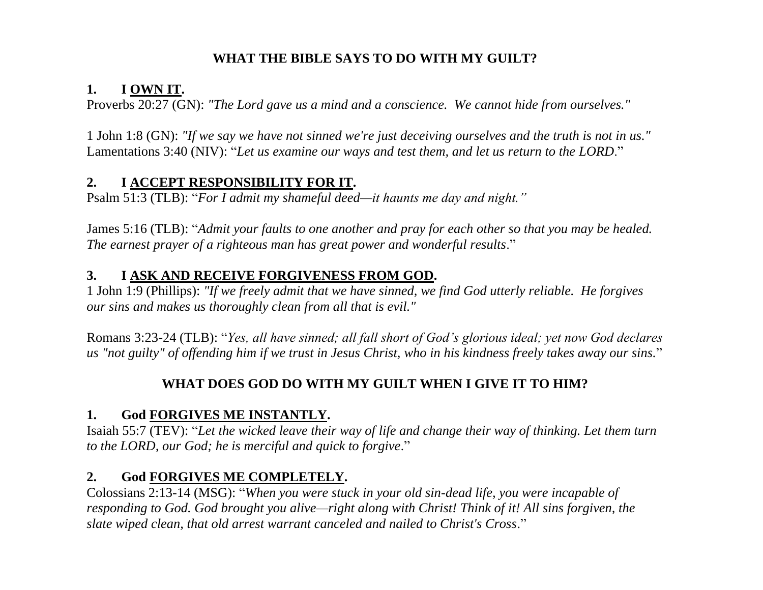# **WHAT THE BIBLE SAYS TO DO WITH MY GUILT?**

# **1. I OWN IT.**

Proverbs 20:27 (GN): *"The Lord gave us a mind and a conscience. We cannot hide from ourselves."*

1 John 1:8 (GN): *"If we say we have not sinned we're just deceiving ourselves and the truth is not in us."*  Lamentations 3:40 (NIV): "*Let us examine our ways and test them, and let us return to the LORD*."

#### **2. I ACCEPT RESPONSIBILITY FOR IT.**

Psalm 51:3 (TLB): "*For I admit my shameful deed—it haunts me day and night."*

James 5:16 (TLB): "*Admit your faults to one another and pray for each other so that you may be healed. The earnest prayer of a righteous man has great power and wonderful results*."

#### **3. I ASK AND RECEIVE FORGIVENESS FROM GOD.**

1 John 1:9 (Phillips): *"If we freely admit that we have sinned, we find God utterly reliable. He forgives our sins and makes us thoroughly clean from all that is evil."*

Romans 3:23-24 (TLB): "*Yes, all have sinned; all fall short of God's glorious ideal; yet now God declares us "not guilty" of offending him if we trust in Jesus Christ, who in his kindness freely takes away our sins.*"

# **WHAT DOES GOD DO WITH MY GUILT WHEN I GIVE IT TO HIM?**

# **1. God FORGIVES ME INSTANTLY.**

Isaiah 55:7 (TEV): "*Let the wicked leave their way of life and change their way of thinking. Let them turn to the LORD, our God; he is merciful and quick to forgive*."

# **2. God FORGIVES ME COMPLETELY.**

Colossians 2:13-14 (MSG): "*When you were stuck in your old sin-dead life, you were incapable of responding to God. God brought you alive—right along with Christ! Think of it! All sins forgiven, the slate wiped clean, that old arrest warrant canceled and nailed to Christ's Cross*."